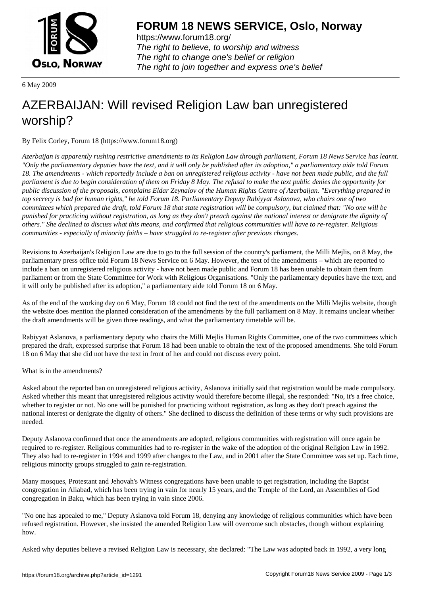

https://www.forum18.org/ The right to believe, to worship and witness The right to change one's belief or religion [The right to join together a](https://www.forum18.org/)nd express one's belief

6 May 2009

## [AZERBAIJAN: W](https://www.forum18.org)ill revised Religion Law ban unregistered worship?

By Felix Corley, Forum 18 (https://www.forum18.org)

*Azerbaijan is apparently rushing restrictive amendments to its Religion Law through parliament, Forum 18 News Service has learnt. "Only the parliamentary deputies have the text, and it will only be published after its adoption," a parliamentary aide told Forum 18. The amendments - which reportedly include a ban on unregistered religious activity - have not been made public, and the full parliament is due to begin consideration of them on Friday 8 May. The refusal to make the text public denies the opportunity for public discussion of the proposals, complains Eldar Zeynalov of the Human Rights Centre of Azerbaijan. "Everything prepared in top secrecy is bad for human rights," he told Forum 18. Parliamentary Deputy Rabiyyat Aslanova, who chairs one of two committees which prepared the draft, told Forum 18 that state registration will be compulsory, but claimed that: "No one will be punished for practicing without registration, as long as they don't preach against the national interest or denigrate the dignity of others." She declined to discuss what this means, and confirmed that religious communities will have to re-register. Religious communities - especially of minority faiths – have struggled to re-register after previous changes.*

Revisions to Azerbaijan's Religion Law are due to go to the full session of the country's parliament, the Milli Mejlis, on 8 May, the parliamentary press office told Forum 18 News Service on 6 May. However, the text of the amendments – which are reported to include a ban on unregistered religious activity - have not been made public and Forum 18 has been unable to obtain them from parliament or from the State Committee for Work with Religious Organisations. "Only the parliamentary deputies have the text, and it will only be published after its adoption," a parliamentary aide told Forum 18 on 6 May.

As of the end of the working day on 6 May, Forum 18 could not find the text of the amendments on the Milli Mejlis website, though the website does mention the planned consideration of the amendments by the full parliament on 8 May. It remains unclear whether the draft amendments will be given three readings, and what the parliamentary timetable will be.

Rabiyyat Aslanova, a parliamentary deputy who chairs the Milli Mejlis Human Rights Committee, one of the two committees which prepared the draft, expressed surprise that Forum 18 had been unable to obtain the text of the proposed amendments. She told Forum 18 on 6 May that she did not have the text in front of her and could not discuss every point.

What is in the amendments?

Asked about the reported ban on unregistered religious activity, Aslanova initially said that registration would be made compulsory. Asked whether this meant that unregistered religious activity would therefore become illegal, she responded: "No, it's a free choice, whether to register or not. No one will be punished for practicing without registration, as long as they don't preach against the national interest or denigrate the dignity of others." She declined to discuss the definition of these terms or why such provisions are needed.

Deputy Aslanova confirmed that once the amendments are adopted, religious communities with registration will once again be required to re-register. Religious communities had to re-register in the wake of the adoption of the original Religion Law in 1992. They also had to re-register in 1994 and 1999 after changes to the Law, and in 2001 after the State Committee was set up. Each time, religious minority groups struggled to gain re-registration.

Many mosques, Protestant and Jehovah's Witness congregations have been unable to get registration, including the Baptist congregation in Aliabad, which has been trying in vain for nearly 15 years, and the Temple of the Lord, an Assemblies of God congregation in Baku, which has been trying in vain since 2006.

"No one has appealed to me," Deputy Aslanova told Forum 18, denying any knowledge of religious communities which have been refused registration. However, she insisted the amended Religion Law will overcome such obstacles, though without explaining how.

Asked why deputies believe a revised Religion Law is necessary, she declared: "The Law was adopted back in 1992, a very long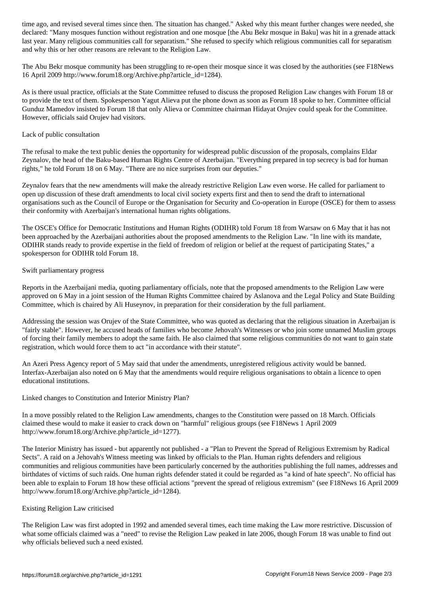declared: "Many most registration and one most registration and one most registration with in a grenade attack last year. Many religious communities call for separatism." She refused to specify which religious communities call for separatism and why this or her other reasons are relevant to the Religion Law.

The Abu Bekr mosque community has been struggling to re-open their mosque since it was closed by the authorities (see F18News 16 April 2009 http://www.forum18.org/Archive.php?article\_id=1284).

As is there usual practice, officials at the State Committee refused to discuss the proposed Religion Law changes with Forum 18 or to provide the text of them. Spokesperson Yagut Alieva put the phone down as soon as Forum 18 spoke to her. Committee official Gunduz Mamedov insisted to Forum 18 that only Alieva or Committee chairman Hidayat Orujev could speak for the Committee. However, officials said Orujev had visitors.

## Lack of public consultation

The refusal to make the text public denies the opportunity for widespread public discussion of the proposals, complains Eldar Zeynalov, the head of the Baku-based Human Rights Centre of Azerbaijan. "Everything prepared in top secrecy is bad for human rights," he told Forum 18 on 6 May. "There are no nice surprises from our deputies."

Zeynalov fears that the new amendments will make the already restrictive Religion Law even worse. He called for parliament to open up discussion of these draft amendments to local civil society experts first and then to send the draft to international organisations such as the Council of Europe or the Organisation for Security and Co-operation in Europe (OSCE) for them to assess their conformity with Azerbaijan's international human rights obligations.

The OSCE's Office for Democratic Institutions and Human Rights (ODIHR) told Forum 18 from Warsaw on 6 May that it has not been approached by the Azerbaijani authorities about the proposed amendments to the Religion Law. "In line with its mandate, ODIHR stands ready to provide expertise in the field of freedom of religion or belief at the request of participating States," a spokesperson for ODIHR told Forum 18.

## Swift parliamentary progress

Reports in the Azerbaijani media, quoting parliamentary officials, note that the proposed amendments to the Religion Law were approved on 6 May in a joint session of the Human Rights Committee chaired by Aslanova and the Legal Policy and State Building Committee, which is chaired by Ali Huseynov, in preparation for their consideration by the full parliament.

Addressing the session was Orujev of the State Committee, who was quoted as declaring that the religious situation in Azerbaijan is "fairly stable". However, he accused heads of families who become Jehovah's Witnesses or who join some unnamed Muslim groups of forcing their family members to adopt the same faith. He also claimed that some religious communities do not want to gain state registration, which would force them to act "in accordance with their statute".

An Azeri Press Agency report of 5 May said that under the amendments, unregistered religious activity would be banned. Interfax-Azerbaijan also noted on 6 May that the amendments would require religious organisations to obtain a licence to open educational institutions.

Linked changes to Constitution and Interior Ministry Plan?

In a move possibly related to the Religion Law amendments, changes to the Constitution were passed on 18 March. Officials claimed these would to make it easier to crack down on "harmful" religious groups (see F18News 1 April 2009 http://www.forum18.org/Archive.php?article\_id=1277).

The Interior Ministry has issued - but apparently not published - a "Plan to Prevent the Spread of Religious Extremism by Radical Sects". A raid on a Jehovah's Witness meeting was linked by officials to the Plan. Human rights defenders and religious communities and religious communities have been particularly concerned by the authorities publishing the full names, addresses and birthdates of victims of such raids. One human rights defender stated it could be regarded as "a kind of hate speech". No official has been able to explain to Forum 18 how these official actions "prevent the spread of religious extremism" (see F18News 16 April 2009 http://www.forum18.org/Archive.php?article\_id=1284).

## Existing Religion Law criticised

The Religion Law was first adopted in 1992 and amended several times, each time making the Law more restrictive. Discussion of what some officials claimed was a "need" to revise the Religion Law peaked in late 2006, though Forum 18 was unable to find out why officials believed such a need existed.